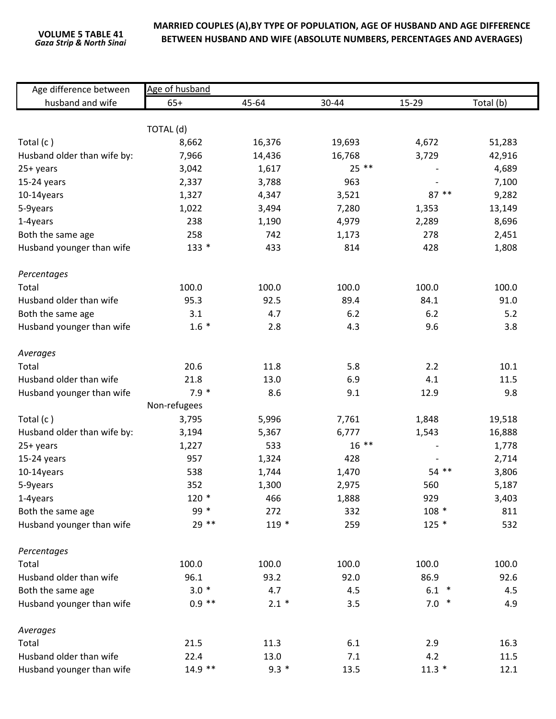## **MARRIED COUPLES (A),BY TYPE OF POPULATION, AGE OF HUSBAND AND AGE DIFFERENCE BETWEEN HUSBAND AND WIFE (ABSOLUTE NUMBERS, PERCENTAGES AND AVERAGES) VOLUME <sup>5</sup> TABLE <sup>41</sup>**

| Age difference between      | Age of husband |         |         |         |           |  |  |  |  |
|-----------------------------|----------------|---------|---------|---------|-----------|--|--|--|--|
| husband and wife            | $65+$          | 45-64   | 30-44   | 15-29   | Total (b) |  |  |  |  |
|                             |                |         |         |         |           |  |  |  |  |
|                             | TOTAL (d)      |         |         |         |           |  |  |  |  |
| Total $(c)$                 | 8,662          | 16,376  | 19,693  | 4,672   | 51,283    |  |  |  |  |
| Husband older than wife by: | 7,966          | 14,436  | 16,768  | 3,729   | 42,916    |  |  |  |  |
| 25+ years                   | 3,042          | 1,617   | $25$ ** |         | 4,689     |  |  |  |  |
| 15-24 years                 | 2,337          | 3,788   | 963     |         | 7,100     |  |  |  |  |
| 10-14years                  | 1,327          | 4,347   | 3,521   | 87 **   | 9,282     |  |  |  |  |
| 5-9years                    | 1,022          | 3,494   | 7,280   | 1,353   | 13,149    |  |  |  |  |
| 1-4years                    | 238            | 1,190   | 4,979   | 2,289   | 8,696     |  |  |  |  |
| Both the same age           | 258            | 742     | 1,173   | 278     | 2,451     |  |  |  |  |
| Husband younger than wife   | $133 *$        | 433     | 814     | 428     | 1,808     |  |  |  |  |
| Percentages                 |                |         |         |         |           |  |  |  |  |
| Total                       | 100.0          | 100.0   | 100.0   | 100.0   | 100.0     |  |  |  |  |
| Husband older than wife     | 95.3           | 92.5    | 89.4    | 84.1    | 91.0      |  |  |  |  |
| Both the same age           | 3.1            | 4.7     | 6.2     | 6.2     | 5.2       |  |  |  |  |
| Husband younger than wife   | $1.6 *$        | 2.8     | 4.3     | 9.6     | 3.8       |  |  |  |  |
| Averages                    |                |         |         |         |           |  |  |  |  |
| Total                       | 20.6           | 11.8    | 5.8     | 2.2     | 10.1      |  |  |  |  |
| Husband older than wife     | 21.8           | 13.0    | 6.9     | 4.1     | 11.5      |  |  |  |  |
| Husband younger than wife   | $7.9*$         | 8.6     | 9.1     | 12.9    | 9.8       |  |  |  |  |
|                             | Non-refugees   |         |         |         |           |  |  |  |  |
| Total (c)                   | 3,795          | 5,996   | 7,761   | 1,848   | 19,518    |  |  |  |  |
| Husband older than wife by: | 3,194          | 5,367   | 6,777   | 1,543   | 16,888    |  |  |  |  |
| 25+ years                   | 1,227          | 533     | $16***$ |         | 1,778     |  |  |  |  |
| 15-24 years                 | 957            | 1,324   | 428     |         | 2,714     |  |  |  |  |
| 10-14years                  | 538            | 1,744   | 1,470   | $54$ ** | 3,806     |  |  |  |  |
| 5-9years                    | 352            | 1,300   | 2,975   | 560     | 5,187     |  |  |  |  |
| 1-4years                    | $120*$         | 466     | 1,888   | 929     | 3,403     |  |  |  |  |
| Both the same age           | 99 *           | 272     | 332     | $108 *$ | 811       |  |  |  |  |
| Husband younger than wife   | 29 **          | $119*$  | 259     | $125 *$ | 532       |  |  |  |  |
| Percentages                 |                |         |         |         |           |  |  |  |  |
| Total                       | 100.0          | 100.0   | 100.0   | 100.0   | 100.0     |  |  |  |  |
| Husband older than wife     | 96.1           | 93.2    | 92.0    | 86.9    | 92.6      |  |  |  |  |
| Both the same age           | $3.0*$         | 4.7     | 4.5     | $6.1 *$ | 4.5       |  |  |  |  |
| Husband younger than wife   | $0.9$ **       | $2.1 *$ | 3.5     | $7.0*$  | 4.9       |  |  |  |  |
| Averages                    |                |         |         |         |           |  |  |  |  |
| Total                       | 21.5           | 11.3    | 6.1     | 2.9     | 16.3      |  |  |  |  |
| Husband older than wife     | 22.4           | 13.0    | 7.1     | 4.2     | 11.5      |  |  |  |  |
| Husband younger than wife   | $14.9$ **      | $9.3 *$ | 13.5    | $11.3*$ | 12.1      |  |  |  |  |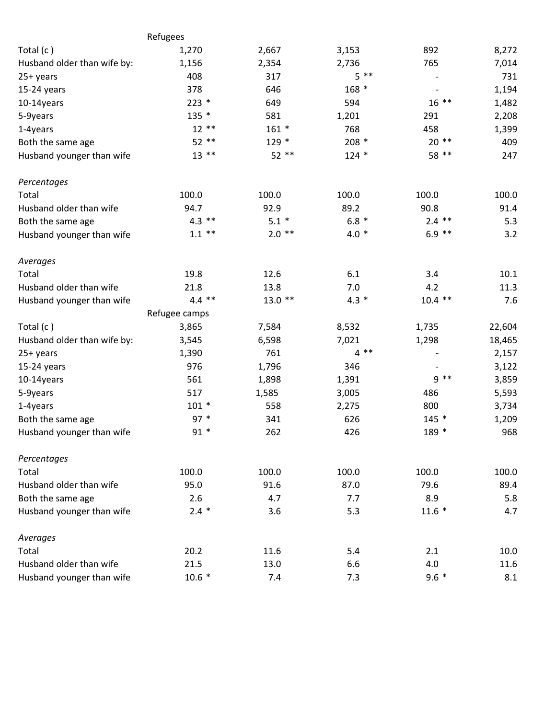|                             | Refugees      |          |         |                          |        |
|-----------------------------|---------------|----------|---------|--------------------------|--------|
| Total $(c)$                 | 1,270         | 2,667    | 3,153   | 892                      | 8,272  |
| Husband older than wife by: | 1,156         | 2,354    | 2,736   | 765                      | 7,014  |
| 25+ years                   | 408           | 317      | $5 * *$ |                          | 731    |
| 15-24 years                 | 378           | 646      | 168 *   | $\overline{\phantom{a}}$ | 1,194  |
| 10-14years                  | $223*$        | 649      | 594     | $16***$                  | 1,482  |
| 5-9years                    | 135 *         | 581      | 1,201   | 291                      | 2,208  |
| 1-4years                    | $12**$        | $161 *$  | 768     | 458                      | 1,399  |
| Both the same age           | 52 **         | 129 *    | $208 *$ | $20**$                   | 409    |
| Husband younger than wife   | $13***$       | 52 **    | $124 *$ | 58 **                    | 247    |
| Percentages                 |               |          |         |                          |        |
| Total                       | 100.0         | 100.0    | 100.0   | 100.0                    | 100.0  |
| Husband older than wife     | 94.7          | 92.9     | 89.2    | 90.8                     | 91.4   |
| Both the same age           | $4.3$ **      | $5.1 *$  | $6.8 *$ | $2.4$ **                 | 5.3    |
| Husband younger than wife   | $1.1$ **      | $2.0$ ** | $4.0*$  | $6.9$ **                 | 3.2    |
| Averages                    |               |          |         |                          |        |
| Total                       | 19.8          | 12.6     | 6.1     | 3.4                      | 10.1   |
| Husband older than wife     | 21.8          | 13.8     | 7.0     | 4.2                      | 11.3   |
| Husband younger than wife   | $4.4$ **      | $13.0**$ | $4.3 *$ | $10.4$ **                | 7.6    |
|                             | Refugee camps |          |         |                          |        |
| Total (c)                   | 3,865         | 7,584    | 8,532   | 1,735                    | 22,604 |
| Husband older than wife by: | 3,545         | 6,598    | 7,021   | 1,298                    | 18,465 |
| 25+ years                   | 1,390         | 761      | $4***$  |                          | 2,157  |
| 15-24 years                 | 976           | 1,796    | 346     |                          | 3,122  |
| 10-14years                  | 561           | 1,898    | 1,391   | $9 * *$                  | 3,859  |
| 5-9years                    | 517           | 1,585    | 3,005   | 486                      | 5,593  |
| 1-4years                    | $101 *$       | 558      | 2,275   | 800                      | 3,734  |
| Both the same age           | $97 *$        | 341      | 626     | $145 *$                  | 1,209  |
| Husband younger than wife   | $91*$         | 262      | 426     | 189 *                    | 968    |
| Percentages                 |               |          |         |                          |        |
| Total                       | 100.0         | 100.0    | 100.0   | 100.0                    | 100.0  |
| Husband older than wife     | 95.0          | 91.6     | 87.0    | 79.6                     | 89.4   |
| Both the same age           | 2.6           | 4.7      | 7.7     | 8.9                      | 5.8    |
| Husband younger than wife   | $2.4 *$       | 3.6      | 5.3     | $11.6*$                  | 4.7    |
| Averages                    |               |          |         |                          |        |
| Total                       | 20.2          | 11.6     | 5.4     | 2.1                      | 10.0   |
| Husband older than wife     | 21.5          | 13.0     | 6.6     | 4.0                      | 11.6   |
| Husband younger than wife   | $10.6*$       | 7.4      | 7.3     | $9.6 *$                  | 8.1    |